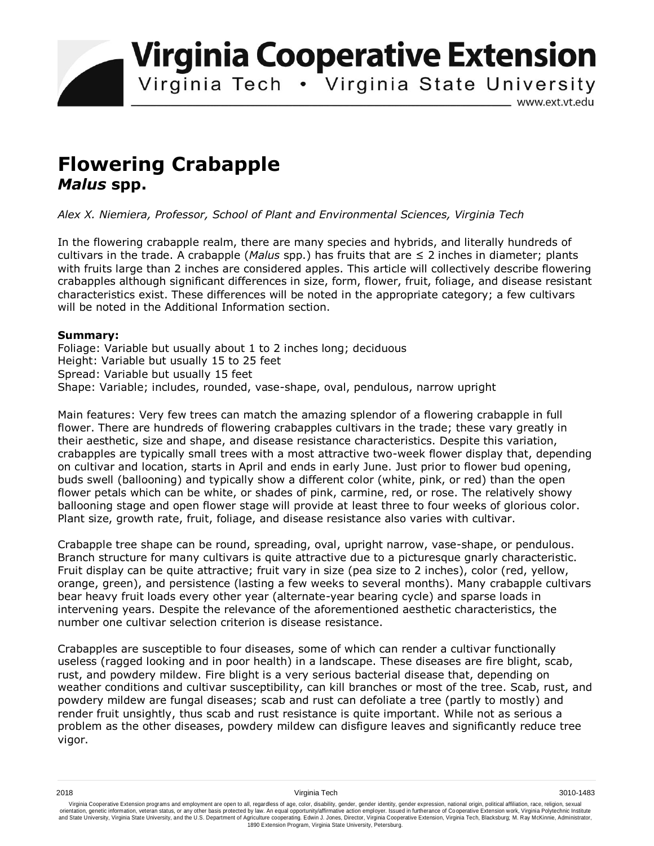**Virginia Cooperative Extension** 

Virginia Tech . Virginia State University

www.ext.vt.edu

# **Flowering Crabapple**  *Malus* **spp.**

*Alex X. Niemiera, Professor, School of Plant and Environmental Sciences, Virginia Tech*

In the flowering crabapple realm, there are many species and hybrids, and literally hundreds of cultivars in the trade. A crabapple (*Malus* spp.) has fruits that are ≤ 2 inches in diameter; plants with fruits large than 2 inches are considered apples. This article will collectively describe flowering crabapples although significant differences in size, form, flower, fruit, foliage, and disease resistant characteristics exist. These differences will be noted in the appropriate category; a few cultivars will be noted in the Additional Information section.

## **Summary:**

Foliage: Variable but usually about 1 to 2 inches long; deciduous Height: Variable but usually 15 to 25 feet Spread: Variable but usually 15 feet Shape: Variable; includes, rounded, vase-shape, oval, pendulous, narrow upright

Main features: Very few trees can match the amazing splendor of a flowering crabapple in full flower. There are hundreds of flowering crabapples cultivars in the trade; these vary greatly in their aesthetic, size and shape, and disease resistance characteristics. Despite this variation, crabapples are typically small trees with a most attractive two-week flower display that, depending on cultivar and location, starts in April and ends in early June. Just prior to flower bud opening, buds swell (ballooning) and typically show a different color (white, pink, or red) than the open flower petals which can be white, or shades of pink, carmine, red, or rose. The relatively showy ballooning stage and open flower stage will provide at least three to four weeks of glorious color. Plant size, growth rate, fruit, foliage, and disease resistance also varies with cultivar.

Crabapple tree shape can be round, spreading, oval, upright narrow, vase-shape, or pendulous. Branch structure for many cultivars is quite attractive due to a picturesque gnarly characteristic. Fruit display can be quite attractive; fruit vary in size (pea size to 2 inches), color (red, yellow, orange, green), and persistence (lasting a few weeks to several months). Many crabapple cultivars bear heavy fruit loads every other year (alternate-year bearing cycle) and sparse loads in intervening years. Despite the relevance of the aforementioned aesthetic characteristics, the number one cultivar selection criterion is disease resistance.

Crabapples are susceptible to four diseases, some of which can render a cultivar functionally useless (ragged looking and in poor health) in a landscape. These diseases are fire blight, scab, rust, and powdery mildew. Fire blight is a very serious bacterial disease that, depending on weather conditions and cultivar susceptibility, can kill branches or most of the tree. Scab, rust, and powdery mildew are fungal diseases; scab and rust can defoliate a tree (partly to mostly) and render fruit unsightly, thus scab and rust resistance is quite important. While not as serious a problem as the other diseases, powdery mildew can disfigure leaves and significantly reduce tree vigor.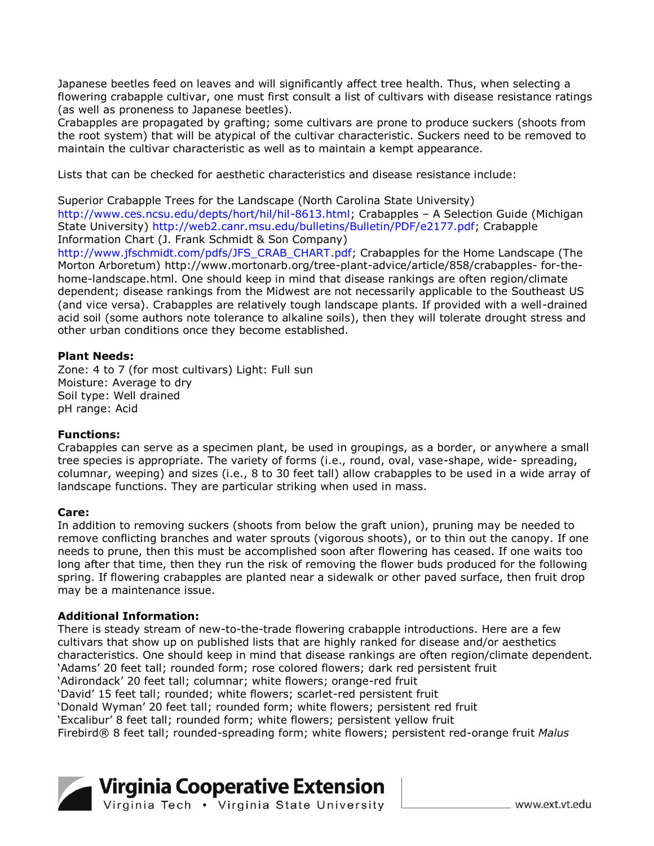Japanese beetles feed on leaves and will significantly affect tree health. Thus, when selecting a flowering crabapple cultivar, one must first consult a list of cultivars with disease resistance ratings (as well as proneness to Japanese beetles).

Crabapples are propagated by grafting; some cultivars are prone to produce suckers (shoots from the root system) that will be atypical of the cultivar characteristic. Suckers need to be removed to maintain the cultivar characteristic as well as to maintain a kempt appearance.

Lists that can be checked for aesthetic characteristics and disease resistance include:

Superior Crabapple Trees for the Landscape (North Carolina State University) http://www.ces.ncsu.edu/depts/hort/hil/hil-8613.html; Crabapples – A Selection Guide (Michigan State University) http://web2.canr.msu.edu/bulletins/Bulletin/PDF/e2177.pdf; Crabapple Information Chart (J. Frank Schmidt & Son Company)

http://www.jfschmidt.com/pdfs/JFS\_CRAB\_CHART.pdf; Crabapples for the Home Landscape (The Morton Arboretum) http://www.mortonarb.org/tree-plant-advice/article/858/crabapples- for-thehome-landscape.html. One should keep in mind that disease rankings are often region/climate dependent; disease rankings from the Midwest are not necessarily applicable to the Southeast US (and vice versa). Crabapples are relatively tough landscape plants. If provided with a well-drained acid soil (some authors note tolerance to alkaline soils), then they will tolerate drought stress and other urban conditions once they become established.

### **Plant Needs:**

Zone: 4 to 7 (for most cultivars) Light: Full sun Moisture: Average to dry Soil type: Well drained pH range: Acid

#### **Functions:**

Crabapples can serve as a specimen plant, be used in groupings, as a border, or anywhere a small tree species is appropriate. The variety of forms (i.e., round, oval, vase-shape, wide- spreading, columnar, weeping) and sizes (i.e., 8 to 30 feet tall) allow crabapples to be used in a wide array of landscape functions. They are particular striking when used in mass.

#### **Care:**

In addition to removing suckers (shoots from below the graft union), pruning may be needed to remove conflicting branches and water sprouts (vigorous shoots), or to thin out the canopy. If one needs to prune, then this must be accomplished soon after flowering has ceased. If one waits too long after that time, then they run the risk of removing the flower buds produced for the following spring. If flowering crabapples are planted near a sidewalk or other paved surface, then fruit drop may be a maintenance issue.

#### **Additional Information:**

There is steady stream of new-to-the-trade flowering crabapple introductions. Here are a few cultivars that show up on published lists that are highly ranked for disease and/or aesthetics characteristics. One should keep in mind that disease rankings are often region/climate dependent. 'Adams' 20 feet tall; rounded form; rose colored flowers; dark red persistent fruit 'Adirondack' 20 feet tall; columnar; white flowers; orange-red fruit 'David' 15 feet tall; rounded; white flowers; scarlet-red persistent fruit 'Donald Wyman' 20 feet tall; rounded form; white flowers; persistent red fruit 'Excalibur' 8 feet tall; rounded form; white flowers; persistent yellow fruit Firebird® 8 feet tall; rounded-spreading form; white flowers; persistent red-orange fruit *Malus* 

# Virginia Cooperative Extension

www.ext.vt.edu